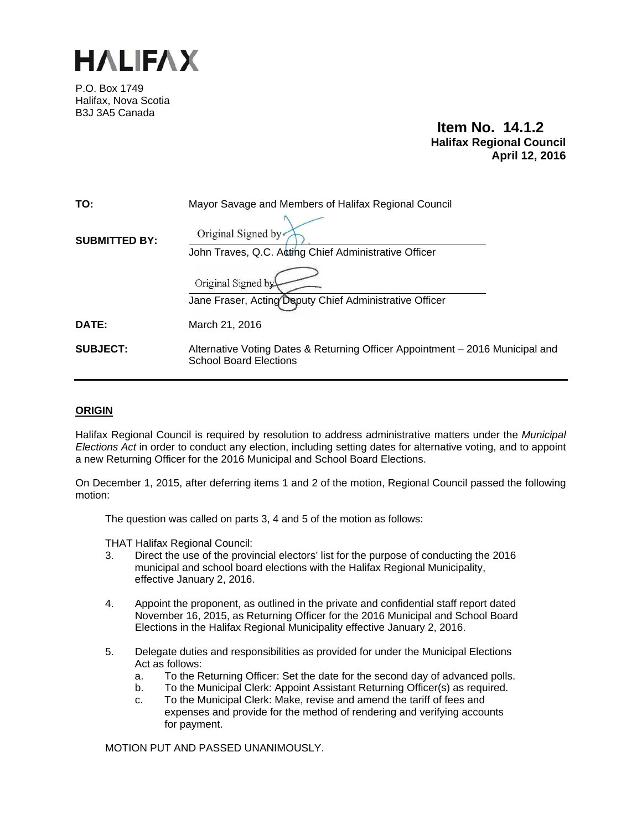

P.O. Box 1749 Halifax, Nova Scotia B3J 3A5 Canada

**Item No. 14.1.2 Halifax Regional Council April 12, 2016** 

| TO:                  | Mayor Savage and Members of Halifax Regional Council                                                           |
|----------------------|----------------------------------------------------------------------------------------------------------------|
| <b>SUBMITTED BY:</b> | Original Signed by<br>John Traves, Q.C. Acting Chief Administrative Officer                                    |
|                      | Original Signed by<br>Jane Fraser, Acting Deputy Chief Administrative Officer                                  |
| <b>DATE:</b>         | March 21, 2016                                                                                                 |
| <b>SUBJECT:</b>      | Alternative Voting Dates & Returning Officer Appointment – 2016 Municipal and<br><b>School Board Elections</b> |

## **ORIGIN**

Halifax Regional Council is required by resolution to address administrative matters under the *Municipal Elections Act* in order to conduct any election, including setting dates for alternative voting, and to appoint a new Returning Officer for the 2016 Municipal and School Board Elections.

On December 1, 2015, after deferring items 1 and 2 of the motion, Regional Council passed the following motion:

The question was called on parts 3, 4 and 5 of the motion as follows:

THAT Halifax Regional Council:

- 3. Direct the use of the provincial electors' list for the purpose of conducting the 2016 municipal and school board elections with the Halifax Regional Municipality, effective January 2, 2016.
- 4. Appoint the proponent, as outlined in the private and confidential staff report dated November 16, 2015, as Returning Officer for the 2016 Municipal and School Board Elections in the Halifax Regional Municipality effective January 2, 2016.
- 5. Delegate duties and responsibilities as provided for under the Municipal Elections Act as follows:
	- a. To the Returning Officer: Set the date for the second day of advanced polls.
	- b. To the Municipal Clerk: Appoint Assistant Returning Officer(s) as required.
	- c. To the Municipal Clerk: Make, revise and amend the tariff of fees and expenses and provide for the method of rendering and verifying accounts for payment.

MOTION PUT AND PASSED UNANIMOUSLY.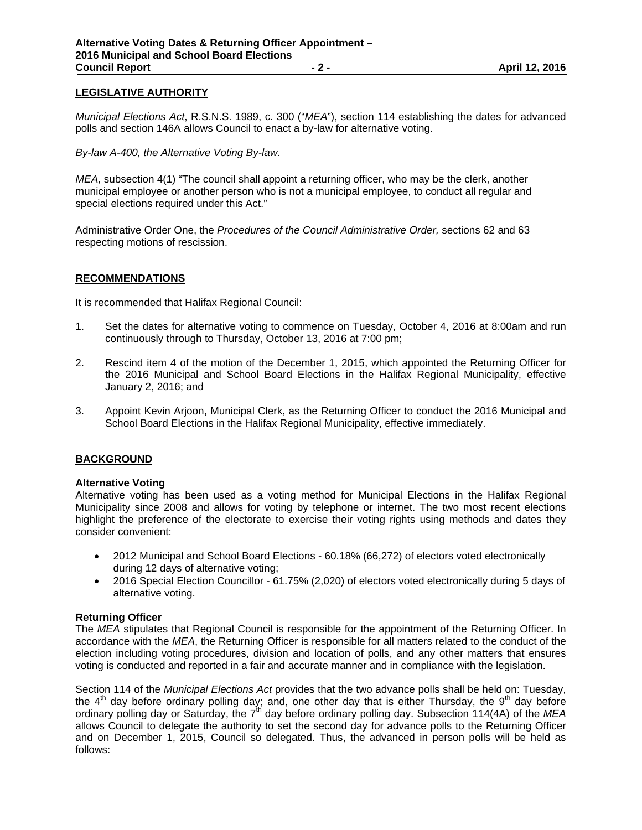# **LEGISLATIVE AUTHORITY**

*Municipal Elections Act*, R.S.N.S. 1989, c. 300 ("*MEA*"), section 114 establishing the dates for advanced polls and section 146A allows Council to enact a by-law for alternative voting.

*By-law A-400, the Alternative Voting By-law.* 

*MEA*, subsection 4(1) "The council shall appoint a returning officer, who may be the clerk, another municipal employee or another person who is not a municipal employee, to conduct all regular and special elections required under this Act."

Administrative Order One, the *Procedures of the Council Administrative Order,* sections 62 and 63 respecting motions of rescission.

#### **RECOMMENDATIONS**

It is recommended that Halifax Regional Council:

- 1. Set the dates for alternative voting to commence on Tuesday, October 4, 2016 at 8:00am and run continuously through to Thursday, October 13, 2016 at 7:00 pm;
- 2. Rescind item 4 of the motion of the December 1, 2015, which appointed the Returning Officer for the 2016 Municipal and School Board Elections in the Halifax Regional Municipality, effective January 2, 2016; and
- 3. Appoint Kevin Arjoon, Municipal Clerk, as the Returning Officer to conduct the 2016 Municipal and School Board Elections in the Halifax Regional Municipality, effective immediately.

## **BACKGROUND**

#### **Alternative Voting**

Alternative voting has been used as a voting method for Municipal Elections in the Halifax Regional Municipality since 2008 and allows for voting by telephone or internet. The two most recent elections highlight the preference of the electorate to exercise their voting rights using methods and dates they consider convenient:

- 2012 Municipal and School Board Elections 60.18% (66,272) of electors voted electronically during 12 days of alternative voting;
- 2016 Special Election Councillor 61.75% (2,020) of electors voted electronically during 5 days of alternative voting.

#### **Returning Officer**

The *MEA* stipulates that Regional Council is responsible for the appointment of the Returning Officer. In accordance with the *MEA*, the Returning Officer is responsible for all matters related to the conduct of the election including voting procedures, division and location of polls, and any other matters that ensures voting is conducted and reported in a fair and accurate manner and in compliance with the legislation.

Section 114 of the *Municipal Elections Act* provides that the two advance polls shall be held on: Tuesday, the  $4<sup>th</sup>$  day before ordinary polling day; and, one other day that is either Thursday, the  $9<sup>th</sup>$  day before ordinary polling day or Saturday, the 7th day before ordinary polling day. Subsection 114(4A) of the *MEA* allows Council to delegate the authority to set the second day for advance polls to the Returning Officer and on December 1, 2015, Council so delegated. Thus, the advanced in person polls will be held as follows: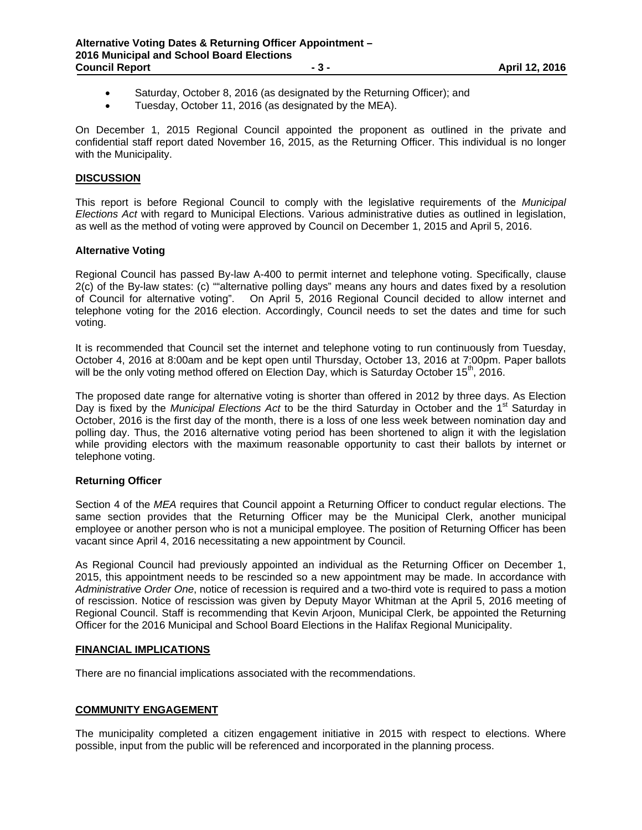- Saturday, October 8, 2016 (as designated by the Returning Officer); and
- Tuesday, October 11, 2016 (as designated by the MEA).

On December 1, 2015 Regional Council appointed the proponent as outlined in the private and confidential staff report dated November 16, 2015, as the Returning Officer. This individual is no longer with the Municipality.

## **DISCUSSION**

This report is before Regional Council to comply with the legislative requirements of the *Municipal Elections Act* with regard to Municipal Elections. Various administrative duties as outlined in legislation, as well as the method of voting were approved by Council on December 1, 2015 and April 5, 2016.

## **Alternative Voting**

Regional Council has passed By-law A-400 to permit internet and telephone voting. Specifically, clause 2(c) of the By-law states: (c) ""alternative polling days" means any hours and dates fixed by a resolution of Council for alternative voting". On April 5, 2016 Regional Council decided to allow internet and telephone voting for the 2016 election. Accordingly, Council needs to set the dates and time for such voting.

It is recommended that Council set the internet and telephone voting to run continuously from Tuesday, October 4, 2016 at 8:00am and be kept open until Thursday, October 13, 2016 at 7:00pm. Paper ballots will be the only voting method offered on Election Day, which is Saturday October 15 $<sup>th</sup>$ , 2016.</sup>

The proposed date range for alternative voting is shorter than offered in 2012 by three days. As Election Day is fixed by the *Municipal Elections Act* to be the third Saturday in October and the 1<sup>st</sup> Saturday in October, 2016 is the first day of the month, there is a loss of one less week between nomination day and polling day. Thus, the 2016 alternative voting period has been shortened to align it with the legislation while providing electors with the maximum reasonable opportunity to cast their ballots by internet or telephone voting.

# **Returning Officer**

Section 4 of the *MEA* requires that Council appoint a Returning Officer to conduct regular elections. The same section provides that the Returning Officer may be the Municipal Clerk, another municipal employee or another person who is not a municipal employee. The position of Returning Officer has been vacant since April 4, 2016 necessitating a new appointment by Council.

As Regional Council had previously appointed an individual as the Returning Officer on December 1, 2015, this appointment needs to be rescinded so a new appointment may be made. In accordance with *Administrative Order One*, notice of recession is required and a two-third vote is required to pass a motion of rescission. Notice of rescission was given by Deputy Mayor Whitman at the April 5, 2016 meeting of Regional Council. Staff is recommending that Kevin Arjoon, Municipal Clerk, be appointed the Returning Officer for the 2016 Municipal and School Board Elections in the Halifax Regional Municipality.

## **FINANCIAL IMPLICATIONS**

There are no financial implications associated with the recommendations.

## **COMMUNITY ENGAGEMENT**

The municipality completed a citizen engagement initiative in 2015 with respect to elections. Where possible, input from the public will be referenced and incorporated in the planning process.